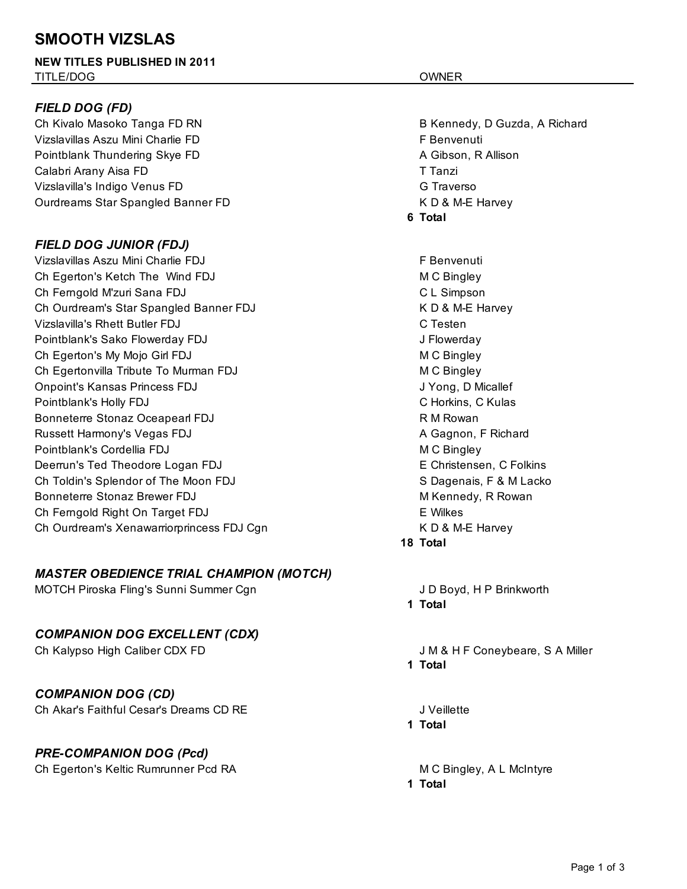# **SMOOTH VIZSLAS**

#### **NEW TITLES PUBLISHED IN 2011**  TITLE/DOG OWNER

### *FIELD DOG (FD)*

Ch Kivalo Masoko Tanga FD RN B Kennedy, D Guzda, A Richard Vizslavillas Aszu Mini Charlie FD **F** Benvenuti Pointblank Thundering Skye FD **A** Gibson, R Allison Calabri Arany Aisa FD T Tanzi Vizslavilla's Indigo Venus FD G Traverson Controller Controller Controller Controller Controller Controller Co Ourdreams Star Spangled Banner FD K D & M-E Harvey

### *FIELD DOG JUNIOR (FDJ)*

Vizslavillas Aszu Mini Charlie FDJ F Benvenuti Ch Egerton's Ketch The Wind FDJ M C Bingley Ch Ferngold M'zuri Sana FDJ C L Simpson Ch Ourdream's Star Spangled Banner FDJ K D & M-E Harvey Vizslavilla's Rhett Butler FDJ C Testen Pointblank's Sako Flowerday FDJ J Flowerday Ch Egerton's My Mojo Girl FDJ M C Bingley Ch Egertonvilla Tribute To Murman FDJ MC Bingley Onpoint's Kansas Princess FDJ J Yong, D Micallef Pointblank's Holly FDJ C Horkins, C Kulas Bonneterre Stonaz Oceapearl FDJ R M Rowan Russett Harmony's Vegas FDJ **A Gagnon, F Richard** A Gagnon, F Richard Pointblank's Cordellia FDJ M C Bingley Deerrun's Ted Theodore Logan FDJ **EXALL EXAMPLE CONSTRUCTS** E Christensen, C Folkins Ch Toldin's Splendor of The Moon FDJ S Dagenais, F & M Lacko Bonneterre Stonaz Brewer FDJ **M** Kennedy, R Rowan Ch Ferngold Right On Target FDJ E Wilkes Ch Ourdream's Xenawarriorprincess FDJ Cgn New York China Review K D & M-E Harvey

### *MASTER OBEDIENCE TRIAL CHAMPION (MOTCH)*

MOTCH Piroska Fling's Sunni Summer Cgn June 1999 MOTCH Proventing U.S. Care and Art Area June 10 Boyd, H P Brinkworth

### *COMPANION DOG EXCELLENT (CDX)*

*COMPANION DOG (CD)*

Ch Akar's Faithful Cesar's Dreams CD RE J Veillette

## *PRE-COMPANION DOG (Pcd)*

Ch Egerton's Keltic Rumrunner Pcd RA M M C Bingley, A L McIntyre

**6 Total**

**18 Total**

**1 Total**

Ch Kalypso High Caliber CDX FD Government Coneybeare, S.A. Miller **1 Total**

**1 Total**

**1 Total**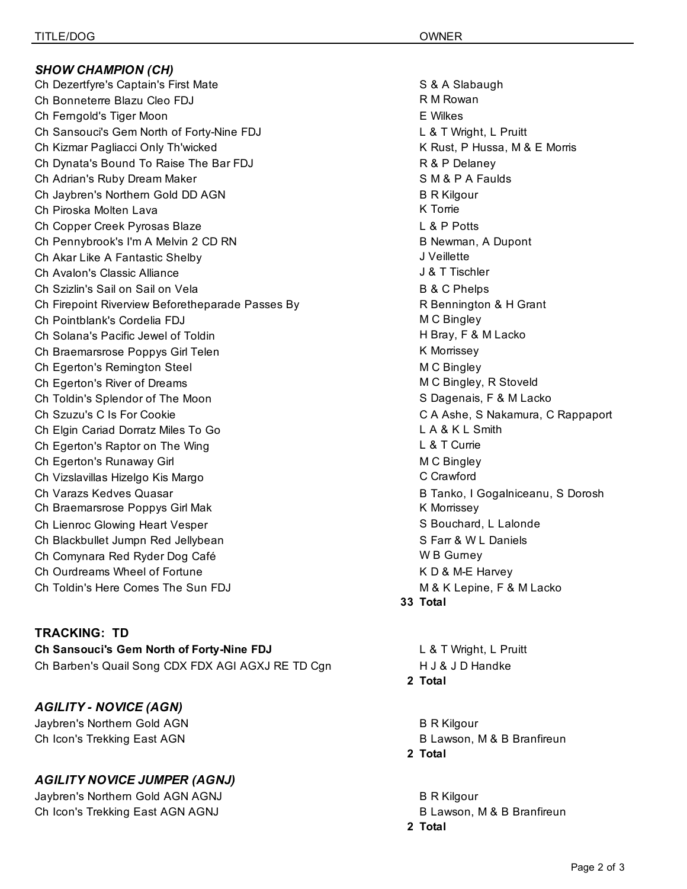*SHOW CHAMPION (CH)* Ch Dezertfyre's Captain's First Mate S & A Slabaugh Ch Bonneterre Blazu Cleo FDJ R M Rowan Ch Ferngold's Tiger Moon E Wilkes Ch Sansouci's Gem North of Forty-Nine FDJ **Let under the Standard Let A** T Wright, L Pruitt Ch Kizmar Pagliacci Only Th'wicked **K** Rust, P Hussa, M & E Morris Ch Dynata's Bound To Raise The Bar FDJ R & P Delaney Ch Adrian's Ruby Dream Maker School and School and School and School and School and School and School and School and School and School and School and School and School and School and School and School and School and School Ch Jaybren's Northern Gold DD AGN B R Kilgour Ch Piroska Molten Lava K Torrie Ch Copper Creek Pyrosas Blaze L & P Potts Ch Pennybrook's I'm A Melvin 2 CD RN B Newman, A Dupont Ch Akar Like A Fantastic Shelby J Veillette Ch Avalon's Classic Alliance J & T Tischler Ch Szizlin's Sail on Sail on Vela B B & C Phelps Ch Firepoint Riverview Beforetheparade Passes By **R** Bennington & H Grant Ch Pointblank's Cordelia FDJ M C Bingley Ch Solana's Pacific Jewel of Toldin H Bray, F & M Lacko Ch Braemarsrose Poppys Girl Telen K Morrissey Ch Egerton's Remington Steel M C Bingley Ch Egerton's River of Dreams **M** C Bingley, R Stoveld Ch Toldin's Splendor of The Moon SC Dagenais, F & M Lacko Ch Szuzu's C Is For Cookie C A Ashe, S Nakamura, C Rappaport Ch Elgin Cariad Dorratz Miles To Go L A & K L Smith Ch Egerton's Raptor on The Wing L Contract Contract Contract Contract Currie Ch Egerton's Runaway Girl Manuscript Channels Channels McC Bingley Ch Vizslavillas Hizelgo Kis Margo C Crawford Ch Varazs Kedves Quasar **B Tanko, I Gogalniceanu, S Dorosh** Ch Braemarsrose Poppys Girl Mak K Morrissey K Morrissey Ch Lienroc Glowing Heart Vesper Schule and Schuckers S Bouchard, L Lalonde Ch Blackbullet Jumpn Red Jellybean S Farr & W L Daniels Ch Comynara Red Ryder Dog Café W B Gurney Ch Ourdreams Wheel of Fortune K D & M-E Harvey Ch Toldin's Here Comes The Sun FDJ M & K Lepine, F & M Lacko

#### **TRACKING: TD**

**Ch Sansouci's Gem North of Forty-Nine FDJ** L & T Wright, L Pruitt Ch Barben's Quail Song CDX FDX AGI AGXJ RE TD Cgn H J & J D Handke

*AGILITY - NOVICE (AGN)* Jaybren's Northern Gold AGN B R Kilgour Ch Icon's Trekking East AGN B Lawson, M & B Branfireun

## *AGILITY NOVICE JUMPER (AGNJ)*

Jaybren's Northern Gold AGN AGNJ B R Kilgour Ch Icon's Trekking East AGN AGNJ B Lawson, M & B Branfireun

**33 Total**

**2 Total**

- 
- **2 Total**

- 
- **2 Total**